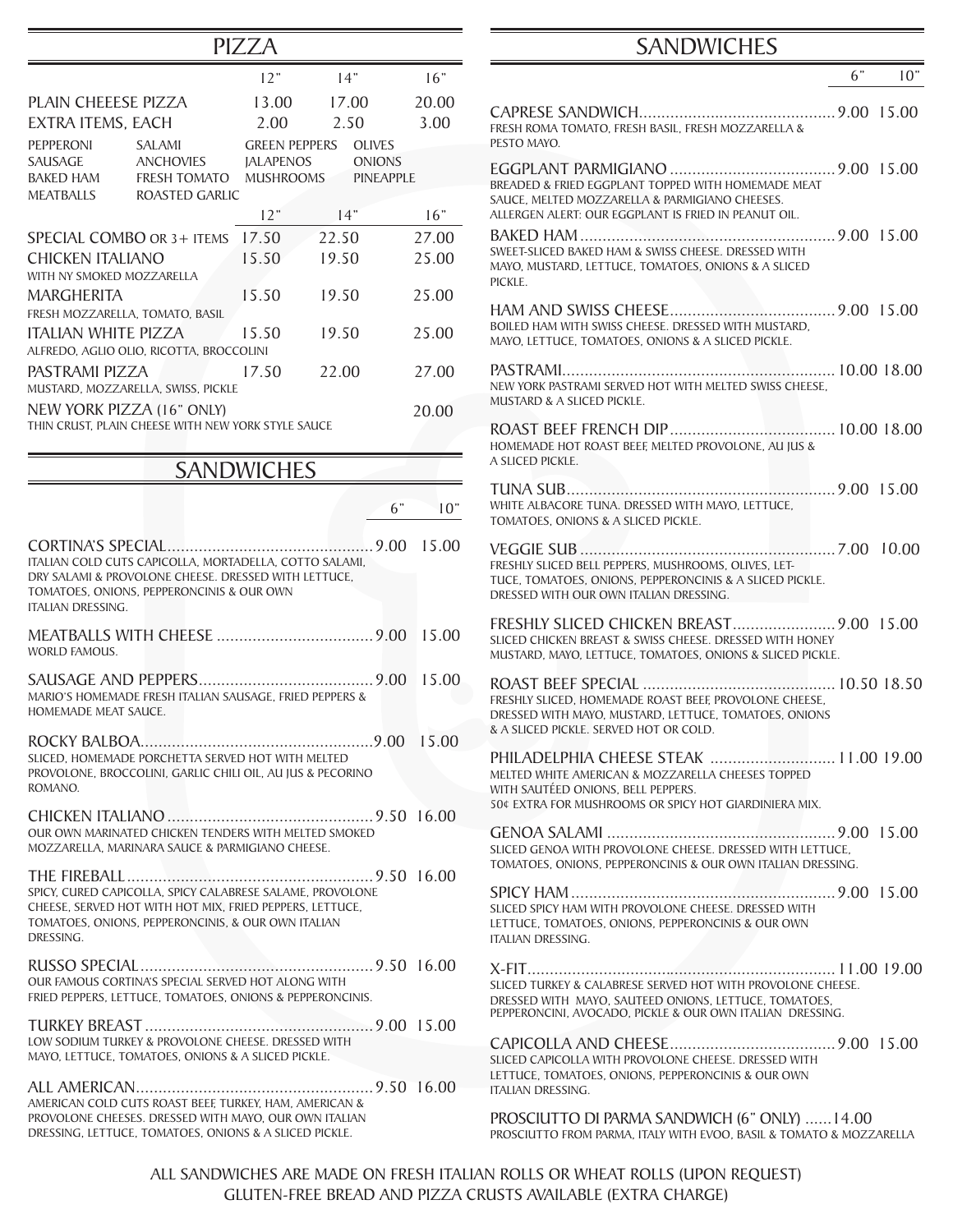|                                                        |                                                                                                                                                                             | PIZZA                                |                                   |           |
|--------------------------------------------------------|-----------------------------------------------------------------------------------------------------------------------------------------------------------------------------|--------------------------------------|-----------------------------------|-----------|
|                                                        |                                                                                                                                                                             | 12"                                  | 14"                               | 16"       |
| PLAIN CHEFFSE PIZZA                                    |                                                                                                                                                                             | 13.00                                | 17.00                             | 20.00     |
| EXTRA ITEMS, EACH                                      |                                                                                                                                                                             | 2.00                                 | 2.50                              | 3.00      |
| <b>PEPPERONI</b>                                       | <b>SALAMI</b>                                                                                                                                                               | <b>GREEN PEPPERS</b>                 | <b>OLIVES</b>                     |           |
| <b>SAUSAGE</b><br><b>BAKED HAM</b>                     | <b>ANCHOVIES</b><br><b>FRESH TOMATO</b>                                                                                                                                     | <b>JALAPENOS</b><br><b>MUSHROOMS</b> | <b>ONIONS</b><br><b>PINEAPPLE</b> |           |
| MEATBALLS                                              | ROASTED GARLIC                                                                                                                                                              |                                      |                                   |           |
|                                                        |                                                                                                                                                                             | 12"                                  | 14"                               | 16"       |
|                                                        | SPECIAL COMBO OR 3+ ITEMS                                                                                                                                                   | 17.50                                | 22.50                             | 27.00     |
| CHICKEN ITALIANO                                       |                                                                                                                                                                             | 15.50                                | 19.50                             | 25.00     |
| WITH NY SMOKED MOZZARELLA                              |                                                                                                                                                                             |                                      |                                   |           |
| <b>MARGHERITA</b>                                      |                                                                                                                                                                             | 15.50                                | 19.50                             | 25.00     |
| FRESH MOZZARELLA, TOMATO, BASIL<br>ITALIAN WHITE PIZZA |                                                                                                                                                                             | 15.50                                | 19.50                             | 25.00     |
|                                                        | ALFREDO, AGLIO OLIO, RICOTTA, BROCCOLINI                                                                                                                                    |                                      |                                   |           |
| PASTRAMI PIZZA                                         |                                                                                                                                                                             | 17.50                                | 22.00                             | 27.00     |
|                                                        | MUSTARD, MOZZARELLA, SWISS, PICKLE                                                                                                                                          |                                      |                                   |           |
|                                                        | NEW YORK PIZZA (16" ONLY)                                                                                                                                                   |                                      |                                   | 20.00     |
|                                                        | THIN CRUST. PLAIN CHEESE WITH NEW YORK STYLE SAUCE                                                                                                                          |                                      |                                   |           |
|                                                        |                                                                                                                                                                             |                                      |                                   |           |
|                                                        |                                                                                                                                                                             | <b>SANDWICHES</b>                    |                                   |           |
|                                                        |                                                                                                                                                                             |                                      |                                   | 6"<br>10" |
| <b>ITALIAN DRESSING.</b>                               | ITALIAN COLD CUTS CAPICOLLA, MORTADELLA, COTTO SALAMI,<br>DRY SALAMI & PROVOLONE CHEESE. DRESSED WITH LETTUCE,<br>TOMATOES, ONIONS, PEPPERONCINIS & OUR OWN                 |                                      |                                   | 15.00     |
| <b>WORLD FAMOUS.</b>                                   |                                                                                                                                                                             |                                      |                                   | 15.00     |
| HOMEMADE MEAT SAUCE.                                   | MARIO'S HOMEMADE FRESH ITALIAN SAUSAGE, FRIED PEPPERS &                                                                                                                     |                                      |                                   | 15.00     |
|                                                        |                                                                                                                                                                             |                                      |                                   |           |
| ROMANO.                                                | SLICED, HOMEMADE PORCHETTA SERVED HOT WITH MELTED<br>PROVOLONE, BROCCOLINI, GARLIC CHILI OIL, AU JUS & PECORINO                                                             |                                      |                                   |           |
|                                                        | OUR OWN MARINATED CHICKEN TENDERS WITH MELTED SMOKED                                                                                                                        |                                      |                                   |           |
|                                                        | MOZZARELLA, MARINARA SAUCE & PARMIGIANO CHEESE.                                                                                                                             |                                      |                                   |           |
| DRESSING.                                              | SPICY, CURED CAPICOLLA, SPICY CALABRESE SALAME, PROVOLONE<br>CHEESE, SERVED HOT WITH HOT MIX, FRIED PEPPERS, LETTUCE,<br>TOMATOES, ONIONS, PEPPERONCINIS, & OUR OWN ITALIAN |                                      |                                   |           |
|                                                        | OUR FAMOUS CORTINA'S SPECIAL SERVED HOT ALONG WITH<br>FRIED PEPPERS, LETTUCE, TOMATOES, ONIONS & PEPPERONCINIS.                                                             |                                      |                                   |           |
|                                                        | LOW SODIUM TURKEY & PROVOLONE CHEESE. DRESSED WITH<br>MAYO, LETTUCE, TOMATOES, ONIONS & A SLICED PICKLE.                                                                    |                                      |                                   |           |
|                                                        |                                                                                                                                                                             |                                      |                                   |           |

ALL AMERICAN.....................................................9.50 16.00 AMERICAN COLD CUTS ROAST BEEF, TURKEY, HAM, AMERICAN & PROVOLONE CHEESES. DRESSED WITH MAYO, OUR OWN ITALIAN DRESSING, LETTUCE, TOMATOES, ONIONS & A SLICED PICKLE.

## SANDWICHES

|                                                                                                                                                                                            | 6" — | 10" |
|--------------------------------------------------------------------------------------------------------------------------------------------------------------------------------------------|------|-----|
| FRESH ROMA TOMATO, FRESH BASIL, FRESH MOZZARELLA &<br>PESTO MAYO.                                                                                                                          |      |     |
| BREADED & FRIED EGGPLANT TOPPED WITH HOMEMADE MEAT<br>SAUCE, MELTED MOZZARELLA & PARMIGIANO CHEESES.<br>ALLERGEN ALERT: OUR EGGPLANT IS FRIED IN PEANUT OIL.                               |      |     |
| SWEET-SLICED BAKED HAM & SWISS CHEESE. DRESSED WITH<br>MAYO, MUSTARD, LETTUCE, TOMATOES, ONIONS & A SLICED<br>PICKLE.                                                                      |      |     |
| BOILED HAM WITH SWISS CHEESE. DRESSED WITH MUSTARD.<br>MAYO, LETTUCE, TOMATOES, ONIONS & A SLICED PICKLE.                                                                                  |      |     |
| NEW YORK PASTRAMI SERVED HOT WITH MELTED SWISS CHEESE.<br>MUSTARD & A SLICED PICKLE.                                                                                                       |      |     |
| HOMEMADE HOT ROAST BEEF, MELTED PROVOLONE, AU JUS &<br>A SLICED PICKLE.                                                                                                                    |      |     |
| WHITE ALBACORE TUNA. DRESSED WITH MAYO. LETTUCE.<br>TOMATOES, ONIONS & A SLICED PICKLE.                                                                                                    |      |     |
| FRESHLY SLICED BELL PEPPERS, MUSHROOMS, OLIVES, LET-<br>TUCE, TOMATOES, ONIONS, PEPPERONCINIS & A SLICED PICKLE.<br>DRESSED WITH OUR OWN ITALIAN DRESSING.                                 |      |     |
| SLICED CHICKEN BREAST & SWISS CHEESE. DRESSED WITH HONEY<br>MUSTARD, MAYO, LETTUCE, TOMATOES, ONIONS & SLICED PICKLE.                                                                      |      |     |
| FRESHLY SLICED, HOMEMADE ROAST BEEF, PROVOLONE CHEESE,<br>DRESSED WITH MAYO, MUSTARD, LETTUCE, TOMATOES, ONIONS<br>& A SLICED PICKLE. SERVED HOT OR COLD.                                  |      |     |
| PHILADELPHIA CHEESE STEAK  11.00 19.00<br>MELTED WHITE AMERICAN & MOZZARELLA CHEESES TOPPED<br>WITH SAUTÉED ONIONS, BELL PEPPERS.<br>50¢ EXTRA FOR MUSHROOMS OR SPICY HOT GIARDINIERA MIX. |      |     |
| SLICED GENOA WITH PROVOLONE CHEESE. DRESSED WITH LETTUCE.<br>TOMATOES, ONIONS, PEPPERONCINIS & OUR OWN ITALIAN DRESSING.                                                                   |      |     |
| SLICED SPICY HAM WITH PROVOLONE CHEESE. DRESSED WITH<br>LETTUCE, TOMATOES, ONIONS, PEPPERONCINIS & OUR OWN<br>ITALIAN DRESSING.                                                            |      |     |
| SLICED TURKEY & CALABRESE SERVED HOT WITH PROVOLONE CHEESE.<br>DRESSED WITH MAYO, SAUTEED ONIONS, LETTUCE, TOMATOES,<br>PEPPERONCINI, AVOCADO, PICKLE & OUR OWN ITALIAN DRESSING.          |      |     |
| SLICED CAPICOLLA WITH PROVOLONE CHEESE. DRESSED WITH<br>LETTUCE, TOMATOES, ONIONS, PEPPERONCINIS & OUR OWN<br>ITALIAN DRESSING.                                                            |      |     |

PROSCIUTTO DI PARMA SANDWICH (6" ONLY) ......14.00 PROSCIUTTO FROM PARMA, ITALY WITH EVOO, BASIL & TOMATO & MOZZARELLA

ALL SANDWICHES ARE MADE ON FRESH ITALIAN ROLLS OR WHEAT ROLLS (UPON REQUEST) GLUTEN-FREE BREAD AND PIZZA CRUSTS AVAILABLE (EXTRA CHARGE)